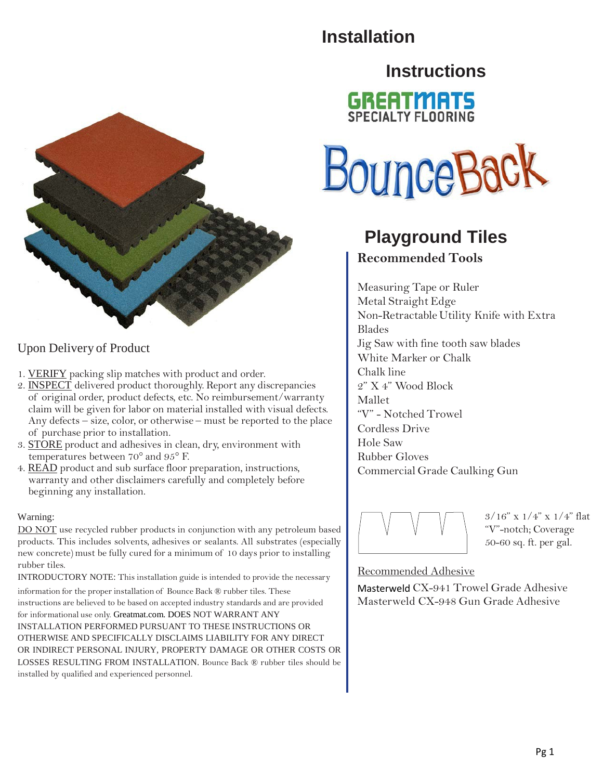### **Installation**

### **Instructions**



### Upon Delivery of Product

- 1. VERIFY packing slip matches with product and order.
- 2. INSPECT delivered product thoroughly. Report any discrepancies of original order, product defects, etc. No reimbursement/warranty claim will be given for labor on material installed with visual defects. Any defects – size, color, or otherwise – must be reported to the place of purchase prior to installation.
- 3. STORE product and adhesives in clean, dry, environment with temperatures between 70° and 95° F.
- 4. READ product and sub surface floor preparation, instructions, warranty and other disclaimers carefully and completely before beginning any installation.

#### Warning:

rubber tiles. DO NOT use recycled rubber products in conjunction with any petroleum based products. This includes solvents, adhesives or sealants. All substrates (especially new concrete) must be fully cured for a minimum of 10 days prior to installing

INTRODUCTORY NOTE: This installation guide is intended to provide the necessary

information for the proper installation of Bounce Back ® rubber tiles. These instructions are believed to be based on accepted industry standards and are provided for informational use only. Greatmat.com. DOES NOT WARRANT ANY INSTALLATION PERFORMED PURSUANT TO THESE INSTRUCTIONS OR OTHERWISE AND SPECIFICALLY DISCLAIMS LIABILITY FOR ANY DIRECT OR INDIRECT PERSONAL INJURY, PROPERTY DAMAGE OR OTHER COSTS OR LOSSES RESULTING FROM INSTALLATION. Bounce Back ® rubber tiles should be installed by qualified and experienced personnel.





### **Playground Tiles**

#### **Recommended Tools**

Measuring Tape or Ruler Metal Straight Edge Non-Retractable Utility Knife with Extra Blades Jig Saw with fine tooth saw blades White Marker or Chalk Chalk line 2" X 4" Wood Block Mallet "V" - Notched Trowel Cordless Drive Hole Saw Rubber Gloves Commercial Grade Caulking Gun



3/16" x 1/4" x 1/4" flat "V"-notch; Coverage 50-60 sq. ft. per gal.

#### Recommended Adhesive

Masterweld CX-941 Trowel Grade Adhesive Masterweld CX-948 Gun Grade Adhesive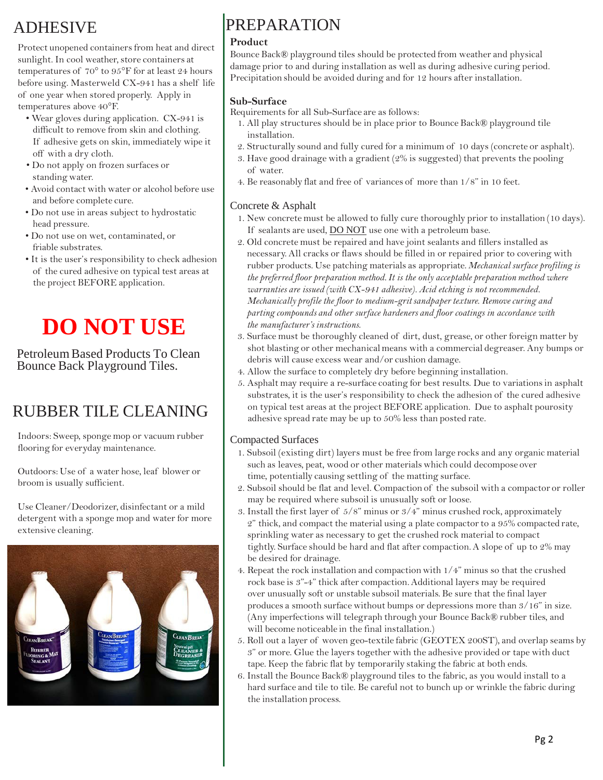### ADHESIVE

Protect unopened containers from heat and direct sunlight. In cool weather, store containers at temperatures of 70° to 95°F for at least 24 hours before using. Masterweld CX-941 has a shelf life of one year when stored properly. Apply in temperatures above 40°F.

- Wear gloves during application. CX-941 is difficult to remove from skin and clothing. If adhesive gets on skin, immediately wipe it off with a dry cloth.
- Do not apply on frozen surfaces or standing water.
- Avoid contact with water or alcohol before use and before complete cure.
- Do not use in areas subject to hydrostatic head pressure.
- Do not use on wet, contaminated, or friable substrates.
- It is the user's responsibility to check adhesion of the cured adhesive on typical test areas at the project BEFORE application.

# **DO NOT USE**

Petroleum Based Products To Clean Bounce Back Playground Tiles.

### RUBBER TILE CLEANING

Indoors: Sweep, sponge mop or vacuum rubber flooring for everyday maintenance.

Outdoors: Use of a water hose, leaf blower or broom is usually sufficient.

Use Cleaner/Deodorizer, disinfectant or a mild detergent with a sponge mop and water for more extensive cleaning.



### PREPARATION

#### **Product**

Bounce Back® playground tiles should be protected from weather and physical damage prior to and during installation as well as during adhesive curing period. Precipitation should be avoided during and for 12 hours after installation.

#### **Sub-Surface**

Requirements for all Sub-Surface are as follows:

- 1. All play structures should be in place prior to Bounce Back® playground tile installation.
- 2. Structurally sound and fully cured for a minimum of 10 days (concrete or asphalt).
- 3. Have good drainage with a gradient (2% is suggested) that prevents the pooling of water.
- 4. Be reasonably flat and free of variances of more than 1/8" in 10 feet.

#### Concrete & Asphalt

- 1. New concrete must be allowed to fully cure thoroughly prior to installation (10 days). If sealants are used, **DO NOT** use one with a petroleum base.
- 2. Old concrete must be repaired and have joint sealants and fillers installed as necessary. All cracks or flaws should be filled in or repaired prior to covering with rubber products. Use patching materials as appropriate. *Mechanical surface profiling is the preferred floor preparation method.It is the only acceptable preparationmethod where warranties are issued (with CX-941 adhesive). Acid etching is not recommended. Mechanically profile the floor to medium-gritsandpaper texture. Remove curing and parting compounds and other surface hardeners and floor coatings in accordance with the manufacturer's instructions.*
- 3. Surface must be thoroughly cleaned of dirt, dust, grease, or other foreign matter by shot blasting or other mechanicalmeans with a commercial degreaser. Any bumps or debris will cause excess wear and/or cushion damage.
- 4. Allow the surface to completely dry before beginning installation.
- 5. Asphalt may require a re-surface coating for best results. Due to variationsin asphalt substrates, it is the user's responsibility to check the adhesion of the cured adhesive on typical test areas at the project BEFORE application. Due to asphalt pourosity adhesive spread rate may be up to 50% less than posted rate.

#### Compacted Surfaces

- 1. Subsoil (existing dirt) layers must be free from large rocks and any organic material such as leaves, peat, wood or other materials which could decompose over time, potentially causing settling of the matting surface.
- 2. Subsoil should be flat and level. Compaction of the subsoil with a compactor or roller may be required where subsoil is unusually soft or loose.
- 3. Install the first layer of 5/8" minus or 3/4" minus crushed rock, approximately  $2$ " thick, and compact the material using a plate compactor to a  $95\%$  compacted rate, sprinkling water as necessary to get the crushed rock material to compact tightly. Surface should be hard and flat after compaction.A slope of up to 2% may be desired for drainage.
- 4. Repeat the rock installation and compaction with 1/4" minus so that the crushed rock base is 3"-4" thick after compaction.Additional layers may be required over unusually soft or unstable subsoil materials. Be sure that the final layer produces a smooth surface without bumps or depressions more than 3/16" in size. (Any imperfections will telegraph through your Bounce Back® rubber tiles, and will become noticeable in the final installation.)
- 5. Roll out a layer of woven geo-textile fabric (GEOTEX 200ST), and overlap seams by 3" or more. Glue the layers together with the adhesive provided or tape with duct tape. Keep the fabric flat by temporarily staking the fabric at both ends.
- 6. Install the Bounce Back® playground tiles to the fabric, as you would install to a hard surface and tile to tile. Be careful not to bunch up or wrinkle the fabric during the installation process.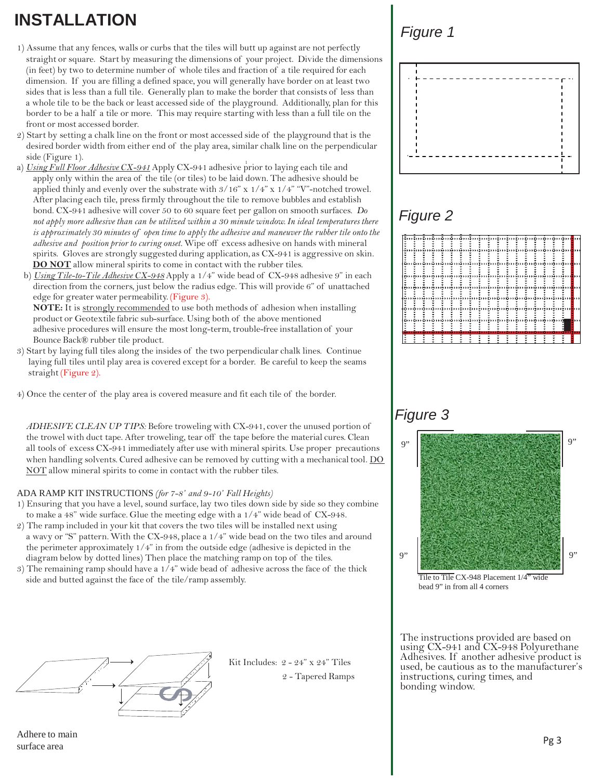## **INSTALLATION**

- 1) Assume that any fences, walls or curbs that the tiles will butt up against are not perfectly straight or square. Start by measuring the dimensions of your project. Divide the dimensions (in feet) by two to determine number of whole tiles and fraction of a tile required for each dimension. If you are filling a defined space, you will generally have border on at least two sides that is less than a full tile. Generally plan to make the border that consists of less than a whole tile to be the back or least accessed side of the playground. Additionally, plan for this border to be a half a tile or more. This may require starting with less than a full tile on the front or most accessed border.
- 2) Start by setting a chalk line on the front or most accessed side of the playground that is the desired border width from either end of the play area, similar chalk line on the perpendicular side (Figure 1).
- 1 a) *Using Full Floor Adhesive CX-941*Apply CX-941 adhesive prior to laying each tile and apply only within the area of the tile (or tiles) to be laid down. The adhesive should be applied thinly and evenly over the substrate with 3/16" x 1/4" x 1/4" "V"-notched trowel. After placing each tile, press firmly throughoutthe tile to remove bubbles and establish bond. CX-941 adhesive will cover 50 to 60 square feet per gallon on smooth surfaces. *Do not apply more adhesive than can be utilized within a 30 minute window. In ideal temperatures there is approximately 30 minutes of open time to apply the adhesive and maneuverthe rubber tile onto the adhesive and position prior to curing onset.* Wipe off excess adhesive on hands with mineral spirits. Gloves are strongly suggested during application, as CX-941 is aggressive on skin. **DO NOT** allow mineral spirits to come in contact with the rubber tiles.
- b) *Using Tile-to-Tile Adhesive CX-948*Apply a 1/4" wide bead of CX-948 adhesive 9" in each direction from the corners, just below the radius edge. This will provide 6" of unattached edge for greater water permeability. (Figure 3).

**NOTE:** It is strongly recommended to use both methods of adhesion when installing product or Geotextile fabric sub-surface. Using both of the above mentioned adhesive procedures will ensure the most long-term, trouble-free installation of your Bounce Back® rubber tile product.

- 3) Start by laying full tiles along the insides of the two perpendicular chalk lines. Continue laying full tiles until play area is covered except for a border. Be careful to keep the seams straight (Figure 2).
- 4) Once the center of the play area is covered measure and fit each tile of the border.

*ADHESIVE CLEAN UP TIPS:* Before troweling with CX-941, cover the unused portion of the trowel with duct tape. After troweling, tear off the tape before the material cures. Clean all tools of excess CX-941 immediately after use with mineral spirits. Use proper precautions when handling solvents. Cured adhesive can be removed by cutting with a mechanical tool. DO NOT allow mineral spirits to come in contact with the rubber tiles.

#### ADA RAMP KIT INSTRUCTIONS *(for 7-8' and 9-10' Fall Heights)*

- 1) Ensuring that you have a level, sound surface, lay two tiles down side by side so they combine to make a 48" wide surface. Glue the meeting edge with a 1/4" wide bead of CX-948.
- 2) The ramp included in your kit that covers the two tiles will be installed next using a wavy or "S" pattern. With the CX-948, place a 1/4" wide bead on the two tiles and around the perimeter approximately 1/4" in from the outside edge (adhesive is depicted in the diagram below by dotted lines) Then place the matching ramp on top of the tiles.
- 3) The remaining ramp should have a 1/4" wide bead of adhesive across the face of the thick side and butted against the face of the tile/ramp assembly.



Kit Includes: 2 - 24" x 24" Tiles 2 - Tapered Ramps

### *Figure 1*



### *Figure 2*



### *Figure 3*



Tile to Tile CX-948 Placement  $1/4$ <sup>77</sup> bead 9" in from all 4 corners

The instructions provided are based on using CX-941 and CX-948 Polyurethane Adhesives. If another adhesive product is used, be cautious as to the manufacturer's instructions, curing times, and bonding window.

Adhere to main surface area